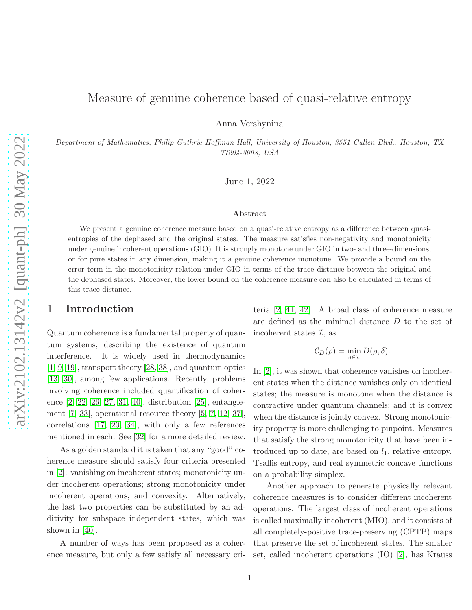# Measure of genuine coherence based of quasi-relative entropy

Anna Vershynina

Department of Mathematics, Philip Guthrie Hoffman Hall, University of Houston, 3551 Cullen Blvd., Houston, TX 77204-3008, USA

June 1, 2022

#### Abstract

We present a genuine coherence measure based on a quasi-relative entropy as a difference between quasientropies of the dephased and the original states. The measure satisfies non-negativity and monotonicity under genuine incoherent operations (GIO). It is strongly monotone under GIO in two- and three-dimensions, or for pure states in any dimension, making it a genuine coherence monotone. We provide a bound on the error term in the monotonicity relation under GIO in terms of the trace distance between the original and the dephased states. Moreover, the lower bound on the coherence measure can also be calculated in terms of this trace distance.

# 1 Introduction

Quantum coherence is a fundamental property of quantum systems, describing the existence of quantum interference. It is widely used in thermodynamics [\[1,](#page-11-0) [9,](#page-11-1) [19\]](#page-12-0), transport theory [\[28,](#page-12-1) [38\]](#page-13-0), and quantum optics [\[13,](#page-11-2) [30\]](#page-12-2), among few applications. Recently, problems involving coherence included quantification of coherence [\[2,](#page-11-3) [22,](#page-12-3) [26,](#page-12-4) [27,](#page-12-5) [31,](#page-12-6) [40\]](#page-13-1), distribution [\[25\]](#page-12-7), entanglement [\[7,](#page-11-4) [33\]](#page-12-8), operational resource theory [\[5,](#page-11-5) [7,](#page-11-4) [12,](#page-11-6) [37\]](#page-12-9), correlations [\[17,](#page-12-10) [20,](#page-12-11) [34\]](#page-12-12), with only a few references mentioned in each. See [\[32\]](#page-12-13) for a more detailed review.

As a golden standard it is taken that any "good" coherence measure should satisfy four criteria presented in [\[2\]](#page-11-3): vanishing on incoherent states; monotonicity under incoherent operations; strong monotonicity under incoherent operations, and convexity. Alternatively, the last two properties can be substituted by an additivity for subspace independent states, which was shown in [\[40\]](#page-13-1).

A number of ways has been proposed as a coherence measure, but only a few satisfy all necessary criteria [\[2,](#page-11-3) [41,](#page-13-2) [42\]](#page-13-3). A broad class of coherence measure are defined as the minimal distance D to the set of incoherent states  $\mathcal{I}$ , as

$$
\mathcal{C}_D(\rho) = \min_{\delta \in \mathcal{I}} D(\rho, \delta).
$$

In [\[2\]](#page-11-3), it was shown that coherence vanishes on incoherent states when the distance vanishes only on identical states; the measure is monotone when the distance is contractive under quantum channels; and it is convex when the distance is jointly convex. Strong monotonicity property is more challenging to pinpoint. Measures that satisfy the strong monotonicity that have been introduced up to date, are based on  $l_1$ , relative entropy, Tsallis entropy, and real symmetric concave functions on a probability simplex.

Another approach to generate physically relevant coherence measures is to consider different incoherent operations. The largest class of incoherent operations is called maximally incoherent (MIO), and it consists of all completely-positive trace-preserving (CPTP) maps that preserve the set of incoherent states. The smaller set, called incoherent operations (IO) [\[2\]](#page-11-3), has Krauss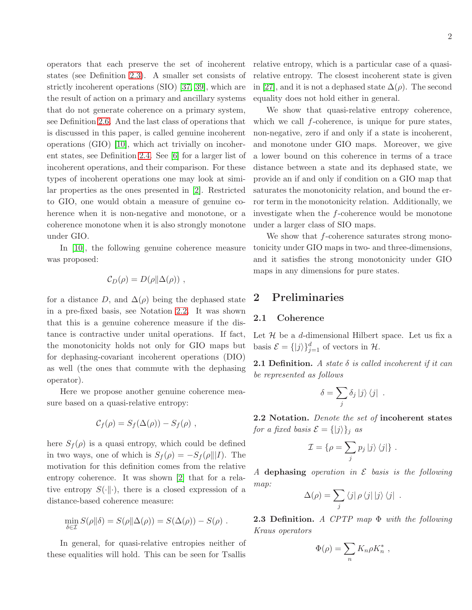operators that each preserve the set of incoherent states (see Definition [2.3\)](#page-1-0). A smaller set consists of strictly incoherent operations (SIO) [\[37,](#page-12-9) [39\]](#page-13-4), which are the result of action on a primary and ancillary systems that do not generate coherence on a primary system, see Definition [2.6.](#page-2-0) And the last class of operations that is discussed in this paper, is called genuine incoherent operations (GIO) [\[10\]](#page-11-7), which act trivially on incoherent states, see Definition [2.4.](#page-2-1) See [\[6\]](#page-11-8) for a larger list of incoherent operations, and their comparison. For these types of incoherent operations one may look at similar properties as the ones presented in [\[2\]](#page-11-3). Restricted to GIO, one would obtain a measure of genuine coherence when it is non-negative and monotone, or a coherence monotone when it is also strongly monotone under GIO.

In [\[10\]](#page-11-7), the following genuine coherence measure was proposed:

$$
C_D(\rho) = D(\rho || \Delta(\rho)) ,
$$

for a distance D, and  $\Delta(\rho)$  being the dephased state in a pre-fixed basis, see Notation [2.2.](#page-1-1) It was shown that this is a genuine coherence measure if the distance is contractive under unital operations. If fact, the monotonicity holds not only for GIO maps but for dephasing-covariant incoherent operations (DIO) as well (the ones that commute with the dephasing operator).

Here we propose another genuine coherence measure based on a quasi-relative entropy:

$$
\mathcal{C}_f(\rho) = S_f(\Delta(\rho)) - S_f(\rho) ,
$$

here  $S_f(\rho)$  is a quasi entropy, which could be defined in two ways, one of which is  $S_f(\rho) = -S_f(\rho||I)$ . The motivation for this definition comes from the relative entropy coherence. It was shown [\[2\]](#page-11-3) that for a relative entropy  $S(\cdot\|\cdot)$ , there is a closed expression of a distance-based coherence measure:

$$
\min_{\delta \in \mathcal{I}} S(\rho || \delta) = S(\rho || \Delta(\rho)) = S(\Delta(\rho)) - S(\rho) .
$$

In general, for quasi-relative entropies neither of these equalities will hold. This can be seen for Tsallis

relative entropy, which is a particular case of a quasirelative entropy. The closest incoherent state is given in [\[27\]](#page-12-5), and it is not a dephased state  $\Delta(\rho)$ . The second equality does not hold either in general.

We show that quasi-relative entropy coherence, which we call  $f$ -coherence, is unique for pure states, non-negative, zero if and only if a state is incoherent, and monotone under GIO maps. Moreover, we give a lower bound on this coherence in terms of a trace distance between a state and its dephased state, we provide an if and only if condition on a GIO map that saturates the monotonicity relation, and bound the error term in the monotonicity relation. Additionally, we investigate when the f-coherence would be monotone under a larger class of SIO maps.

We show that  $f$ -coherence saturates strong monotonicity under GIO maps in two- and three-dimensions, and it satisfies the strong monotonicity under GIO maps in any dimensions for pure states.

# 2 Preliminaries

### 2.1 Coherence

Let  $\mathcal H$  be a d-dimensional Hilbert space. Let us fix a basis  $\mathcal{E} = \{|j\rangle\}_{j=1}^d$  of vectors in  $\mathcal{H}$ .

**2.1 Definition.** A state  $\delta$  is called incoherent if it can be represented as follows

$$
\delta = \sum_j \delta_j \ket{j} \bra{j}.
$$

<span id="page-1-1"></span>2.2 Notation. Denote the set of incoherent states for a fixed basis  $\mathcal{E} = \{ |j\rangle \}_j$  as

$$
\mathcal{I} = \{ \rho = \sum_j p_j \, |j\rangle \, \langle j| \} \, .
$$

A dephasing operation in  $\mathcal E$  basis is the following map:

$$
\Delta(\rho) = \sum_j \langle j | \rho \langle j | j \rangle \langle j |.
$$

<span id="page-1-0"></span>**2.3 Definition.** A CPTP map  $\Phi$  with the following Kraus operators

$$
\Phi(\rho) = \sum_n K_n \rho K_n^*,
$$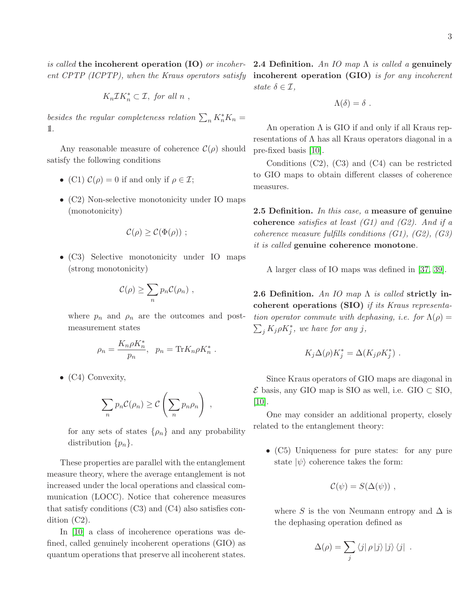is called the incoherent operation (IO) or incoher- 2.4 Definition. An IO map  $\Lambda$  is called a genuinely

$$
K_n \mathcal{I} K_n^* \subset \mathcal{I}, \text{ for all } n ,
$$

besides the regular completeness relation  $\sum_n K_n^* K_n =$ 1l.

Any reasonable measure of coherence  $\mathcal{C}(\rho)$  should satisfy the following conditions

- (C1)  $\mathcal{C}(\rho) = 0$  if and only if  $\rho \in \mathcal{I}$ ;
- (C2) Non-selective monotonicity under IO maps (monotonicity)

$$
\mathcal{C}(\rho) \geq \mathcal{C}(\Phi(\rho)) \ ;
$$

• (C3) Selective monotonicity under IO maps (strong monotonicity)

$$
\mathcal{C}(\rho) \geq \sum_n p_n \mathcal{C}(\rho_n) ,
$$

where  $p_n$  and  $p_n$  are the outcomes and postmeasurement states

$$
\rho_n = \frac{K_n \rho K_n^*}{p_n}, \quad p_n = \text{Tr} K_n \rho K_n^*.
$$

•  $(C4)$  Convexity,

$$
\sum_n p_n C(\rho_n) \geq C\left(\sum_n p_n \rho_n\right) ,
$$

for any sets of states  $\{\rho_n\}$  and any probability distribution  $\{p_n\}$ .

These properties are parallel with the entanglement measure theory, where the average entanglement is not increased under the local operations and classical communication (LOCC). Notice that coherence measures that satisfy conditions  $(C3)$  and  $(C4)$  also satisfies condition (C2).

In [\[10\]](#page-11-7) a class of incoherence operations was defined, called genuinely incoherent operations (GIO) as quantum operations that preserve all incoherent states.

ent CPTP (ICPTP), when the Kraus operators satisfy **incoherent operation (GIO)** is for any incoherent state  $\delta \in \mathcal{I}$ ,

$$
\Lambda(\delta)=\delta.
$$

<span id="page-2-1"></span>An operation  $\Lambda$  is GIO if and only if all Kraus representations of  $\Lambda$  has all Kraus operators diagonal in a pre-fixed basis [\[10\]](#page-11-7).

Conditions (C2), (C3) and (C4) can be restricted to GIO maps to obtain different classes of coherence measures.

2.5 Definition. In this case, a measure of genuine coherence satisfies at least  $(G1)$  and  $(G2)$ . And if a coherence measure fulfills conditions (G1), (G2), (G3) it is called genuine coherence monotone.

A larger class of IO maps was defined in [\[37,](#page-12-9) [39\]](#page-13-4).

<span id="page-2-0"></span>**2.6 Definition.** An IO map  $\Lambda$  is called strictly incoherent operations (SIO) if its Kraus representation operator commute with dephasing, i.e. for  $\Lambda(\rho)$  =  $\sum_j K_j \rho K_j^*$ , we have for any j,

$$
K_j \Delta(\rho) K_j^* = \Delta(K_j \rho K_j^*) .
$$

Since Kraus operators of GIO maps are diagonal in  $\mathcal E$  basis, any GIO map is SIO as well, i.e. GIO  $\subset$  SIO, [\[10\]](#page-11-7).

One may consider an additional property, closely related to the entanglement theory:

• (C5) Uniqueness for pure states: for any pure state  $|\psi\rangle$  coherence takes the form:

$$
\mathcal{C}(\psi)=S(\Delta(\psi))\;,
$$

where S is the von Neumann entropy and  $\Delta$  is the dephasing operation defined as

$$
\Delta(\rho) = \sum_j \langle j | \rho | j \rangle | j \rangle \langle j |.
$$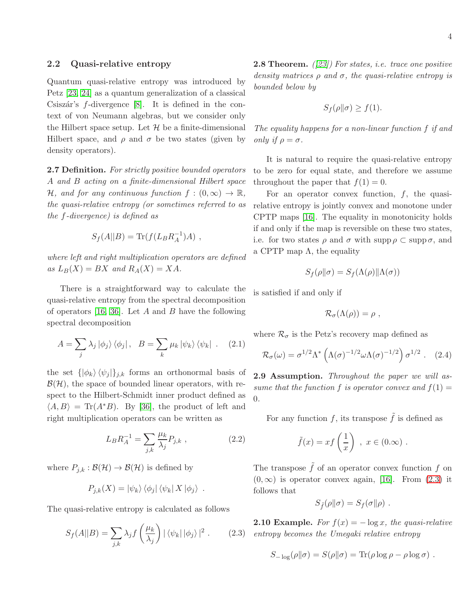Quantum quasi-relative entropy was introduced by Petz [\[23,](#page-12-14) [24\]](#page-12-15) as a quantum generalization of a classical Csiszár's  $f$ -divergence [\[8\]](#page-11-9). It is defined in the context of von Neumann algebras, but we consider only the Hilbert space setup. Let  $\mathcal H$  be a finite-dimensional Hilbert space, and  $\rho$  and  $\sigma$  be two states (given by density operators).

2.7 Definition. For strictly positive bounded operators A and B acting on a finite-dimensional Hilbert space H, and for any continuous function  $f:(0,\infty) \to \mathbb{R}$ , the quasi-relative entropy (or sometimes referred to as the f-divergence) is defined as

$$
S_f(A||B) = \text{Tr}(f(L_B R_A^{-1})A) ,
$$

where left and right multiplication operators are defined as  $L_B(X) = BX$  and  $R_A(X) = XA$ .

There is a straightforward way to calculate the quasi-relative entropy from the spectral decomposition of operators [\[16,](#page-11-10) [36\]](#page-12-16). Let A and B have the following spectral decomposition

$$
A = \sum_{j} \lambda_{j} |\phi_{j}\rangle \langle \phi_{j}|, \quad B = \sum_{k} \mu_{k} |\psi_{k}\rangle \langle \psi_{k}| \quad . \quad (2.1)
$$

the set  $\{\ket{\phi_k}\langle\psi_i|\}_{i,k}$  forms an orthonormal basis of  $\mathcal{B}(\mathcal{H})$ , the space of bounded linear operators, with respect to the Hilbert-Schmidt inner product defined as  $\langle A, B \rangle = \text{Tr}(A^*B)$ . By [\[36\]](#page-12-16), the product of left and right multiplication operators can be written as

$$
L_B R_A^{-1} = \sum_{j,k} \frac{\mu_k}{\lambda_j} P_{j,k} \tag{2.2}
$$

where  $P_{j,k} : \mathcal{B}(\mathcal{H}) \to \mathcal{B}(\mathcal{H})$  is defined by

$$
P_{j,k}(X) = |\psi_k\rangle \langle \phi_j| \langle \psi_k| X |\phi_j\rangle .
$$

The quasi-relative entropy is calculated as follows

<span id="page-3-0"></span>
$$
S_f(A||B) = \sum_{j,k} \lambda_j f\left(\frac{\mu_k}{\lambda_j}\right) |\langle \psi_k | \phi_j \rangle|^2.
$$
 (2.3)

<span id="page-3-1"></span>**2.8 Theorem.**  $(23)$  For states, i.e. trace one positive density matrices  $\rho$  and  $\sigma$ , the quasi-relative entropy is bounded below by

$$
S_f(\rho\|\sigma) \ge f(1).
$$

The equality happens for a non-linear function f if and only if  $\rho = \sigma$ .

It is natural to require the quasi-relative entropy to be zero for equal state, and therefore we assume throughout the paper that  $f(1) = 0$ .

For an operator convex function,  $f$ , the quasirelative entropy is jointly convex and monotone under CPTP maps [\[16\]](#page-11-10). The equality in monotonicity holds if and only if the map is reversible on these two states, i.e. for two states  $\rho$  and  $\sigma$  with supp  $\rho \subset \text{supp }\sigma$ , and a CPTP map  $\Lambda$ , the equality

$$
S_f(\rho\|\sigma) = S_f(\Lambda(\rho)\|\Lambda(\sigma))
$$

is satisfied if and only if

$$
\mathcal{R}_{\sigma}(\Lambda(\rho))=\rho ,
$$

where  $\mathcal{R}_{\sigma}$  is the Petz's recovery map defined as

<span id="page-3-2"></span>
$$
\mathcal{R}_{\sigma}(\omega) = \sigma^{1/2} \Lambda^* \left( \Lambda(\sigma)^{-1/2} \omega \Lambda(\sigma)^{-1/2} \right) \sigma^{1/2} . \quad (2.4)
$$

**2.9 Assumption.** Throughout the paper we will assume that the function f is operator convex and  $f(1) =$ 0.

For any function f, its transpose  $\tilde{f}$  is defined as

$$
\tilde{f}(x) = xf\left(\frac{1}{x}\right), x \in (0.\infty).
$$

The transpose  $\tilde{f}$  of an operator convex function f on  $(0, \infty)$  is operator convex again, [\[16\]](#page-11-10). From  $(2.3)$  it follows that

$$
S_{\tilde{f}}(\rho\|\sigma)=S_f(\sigma\|\rho).
$$

**2.10 Example.** For  $f(x) = -\log x$ , the quasi-relative entropy becomes the Umegaki relative entropy

$$
S_{-\log}(\rho||\sigma) = S(\rho||\sigma) = \text{Tr}(\rho \log \rho - \rho \log \sigma) .
$$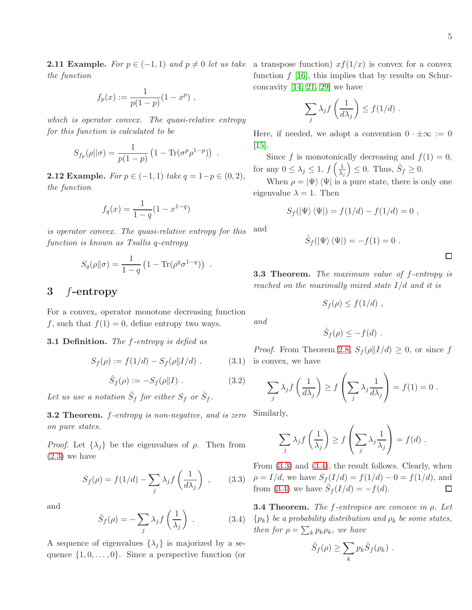**2.11 Example.** For  $p \in (-1,1)$  and  $p \neq 0$  let us take a transpose function)  $xf(1/x)$  is convex for a convex the function

$$
f_p(x) := \frac{1}{p(1-p)}(1-x^p) ,
$$

which is operator convex. The quasi-relative entropy for this function is calculated to be

$$
S_{f_p}(\rho || \sigma) = \frac{1}{p(1-p)} (1 - \text{Tr}(\sigma^p \rho^{1-p})) .
$$

**2.12 Example.** For  $p \in (-1, 1)$  take  $q = 1-p \in (0, 2)$ , the function

$$
f_q(x) = \frac{1}{1-q}(1 - x^{1-q})
$$

is operator convex. The quasi-relative entropy for function is known as Tsallis q-entropy

$$
S_q(\rho||\sigma) = \frac{1}{1-q} \left(1 - \text{Tr}(\rho^q \sigma^{1-q})\right) .
$$

# 3 f-entropy

For a convex, operator monotone decreasing function f, such that  $f(1) = 0$ , define entropy two ways.

#### **3.1 Definition.** The f-entropy is defied as

<span id="page-4-2"></span>
$$
S_f(\rho) := f(1/d) - S_f(\rho || I/d) . \tag{3.1}
$$

<span id="page-4-3"></span>
$$
\hat{S}_f(\rho) := -S_f(\rho || I) . \qquad (3.2)
$$

Let us use a notation  $\tilde{S}_f$  for either  $S_f$  or  $\hat{S}_f$ .

**3.2 Theorem.** f-entropy is non-negative, and is zero on pure states.

*Proof.* Let  $\{\lambda_i\}$  be the eigenvalues of  $\rho$ . Then from [\(2.3\)](#page-3-0) we have

<span id="page-4-0"></span>
$$
S_f(\rho) = f(1/d) - \sum_j \lambda_j f\left(\frac{1}{d\lambda_j}\right) ,\qquad(3.3)
$$

and

<span id="page-4-1"></span>
$$
\hat{S}_f(\rho) = -\sum_j \lambda_j f\left(\frac{1}{\lambda_j}\right) \tag{3.4}
$$

A sequence of eigenvalues  $\{\lambda_i\}$  is majorized by a sequence  $\{1, 0, \ldots, 0\}$ . Since a perspective function (or function  $f$  [\[16\]](#page-11-10), this implies that by results on Schurconcavity [\[14,](#page-11-11) [21,](#page-12-17) [29\]](#page-12-18) we have

$$
\sum_j \lambda_j f\left(\frac{1}{d\lambda_j}\right) \le f(1/d) .
$$

Here, if needed, we adopt a convention  $0 \cdot \pm \infty := 0$  $|15|$ .

Since f is monotonically decreasing and  $f(1) = 0$ , for any  $0 \leq \lambda_j \leq 1$ ,  $f\left(\frac{1}{\lambda_j}\right)$  $\left(\frac{1}{\lambda_j}\right) \leq 0$ . Thus,  $\hat{S}_f \geq 0$ .

When  $\rho = |\Psi\rangle \langle \Psi|$  is a pure state, there is only one eigenvalue  $\lambda = 1$ . Then

$$
S_f(\ket{\Psi}\bra{\Psi}) = f(1/d) - f(1/d) = 0,
$$

$$
_{\text{\it or this}}\ \ \, \text{and}\ \ \,
$$

$$
\hat{S}_f(|\Psi\rangle\langle\Psi|) = -f(1) = 0.
$$

<span id="page-4-4"></span>3.3 Theorem. The maximum value of f-entropy is reached on the maximally mixed state  $I/d$  and it is

$$
S_f(\rho) \le f(1/d) ,
$$

$$
\hat{S}_f(\rho) \leq -f(d) .
$$

*Proof.* From Theorem [2.8,](#page-3-1)  $S_f(\rho || I/d) \geq 0$ , or since f is convex, we have

$$
\sum_{j} \lambda_j f\left(\frac{1}{d\lambda_j}\right) \ge f\left(\sum_{j} \lambda_j \frac{1}{d\lambda_j}\right) = f(1) = 0.
$$

Similarly,

and

$$
\sum_{j} \lambda_j f\left(\frac{1}{\lambda_j}\right) \ge f\left(\sum_{j} \lambda_j \frac{1}{\lambda_j}\right) = f(d) .
$$

From [\(3.3\)](#page-4-0) and [\(3.4\)](#page-4-1), the result follows. Clearly, when  $\rho = I/d$ , we have  $S_f(I/d) = f(1/d) - 0 = f(1/d)$ , and from [\(3.4\)](#page-4-1) we have  $\hat{S}_f(I/d) = -f(d)$ .  $\Box$ 

**3.4 Theorem.** The f-entropies are concave in  $\rho$ . Let  $\{p_k\}$  be a probability distribution and  $\rho_k$  be some states, then for  $\rho = \sum_k p_k \rho_k$ , we have

$$
\tilde{S}_f(\rho) \geq \sum_k p_k \tilde{S}_f(\rho_k) .
$$

 $\Box$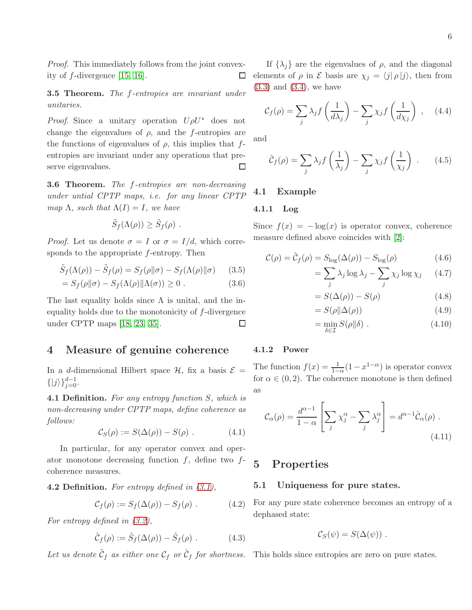Proof. This immediately follows from the joint convexity of f-divergence [\[15,](#page-11-12) [16\]](#page-11-10).  $\Box$ 

**3.5 Theorem.** The f-entropies are invariant under unitaries.

*Proof.* Since a unitary operation  $U \rho U^*$  does not change the eigenvalues of  $\rho$ , and the f-entropies are the functions of eigenvalues of  $\rho$ , this implies that fentropies are invariant under any operations that preserve eigenvalues.  $\Box$ 

<span id="page-5-0"></span>**3.6 Theorem.** The f-entropies are non-decreasing under untial CPTP maps, i.e. for any linear CPTP map  $\Lambda$ , such that  $\Lambda(I) = I$ , we have

$$
\tilde{S}_f(\Lambda(\rho)) \geq \tilde{S}_f(\rho) .
$$

*Proof.* Let us denote  $\sigma = I$  or  $\sigma = I/d$ , which corresponds to the appropriate f-entropy. Then

$$
\tilde{S}_f(\Lambda(\rho)) - \tilde{S}_f(\rho) = S_f(\rho || \sigma) - S_f(\Lambda(\rho) || \sigma)
$$
 (3.5)

$$
= S_f(\rho || \sigma) - S_f(\Lambda(\rho) || \Lambda(\sigma)) \ge 0.
$$
 (3.6)

The last equality holds since  $\Lambda$  is unital, and the inequality holds due to the monotonicity of f-divergence under CPTP maps [\[18,](#page-12-19) [23,](#page-12-14) [35\]](#page-12-20).  $\Box$ 

### 4 Measure of genuine coherence

In a d-dimensional Hilbert space  $\mathcal{H}$ , fix a basis  $\mathcal{E}$  =  $\{|j\rangle\}_{j=0}^{d-1}$ .

4.1 Definition. For any entropy function S, which is non-decreasing under CPTP maps, define coherence as follows:

$$
\mathcal{C}_S(\rho) := S(\Delta(\rho)) - S(\rho) . \tag{4.1}
$$

In particular, for any operator convex and operator monotone decreasing function  $f$ , define two  $f$ coherence measures.

**4.2 Definition.** For entropy defined in  $(3.1)$ ,

<span id="page-5-1"></span>
$$
\mathcal{C}_f(\rho) := S_f(\Delta(\rho)) - S_f(\rho) . \tag{4.2}
$$

For entropy defined in [\(3.2\)](#page-4-3),

<span id="page-5-2"></span>
$$
\hat{C}_f(\rho) := \hat{S}_f(\Delta(\rho)) - \hat{S}_f(\rho) . \qquad (4.3)
$$

Let us denote  $\tilde{\mathcal{C}}_f$  as either one  $\mathcal{C}_f$  or  $\hat{\mathcal{C}}_f$  for shortness.

If  $\{\lambda_i\}$  are the eigenvalues of  $\rho$ , and the diagonal elements of  $\rho$  in  $\mathcal E$  basis are  $\chi_j = \langle j | \rho | j \rangle$ , then from [\(3.3\)](#page-4-0) and [\(3.4\)](#page-4-1), we have

<span id="page-5-4"></span>
$$
C_f(\rho) = \sum_j \lambda_j f\left(\frac{1}{d\lambda_j}\right) - \sum_j \chi_j f\left(\frac{1}{d\chi_j}\right) , \quad (4.4)
$$

and

$$
\hat{\mathcal{C}}_f(\rho) = \sum_j \lambda_j f\left(\frac{1}{\lambda_j}\right) - \sum_j \chi_j f\left(\frac{1}{\chi_j}\right) \,. \tag{4.5}
$$

### 4.1 Example

#### 4.1.1 Log

Since  $f(x) = -\log(x)$  is operator convex, coherence measure defined above coincides with [\[2\]](#page-11-3):

<span id="page-5-3"></span>
$$
\mathcal{C}(\rho) = \hat{\mathcal{C}}_f(\rho) = S_{\log}(\Delta(\rho)) - S_{\log}(\rho) \tag{4.6}
$$

$$
= \sum_{j} \lambda_j \log \lambda_j - \sum_{j} \chi_j \log \chi_j \qquad (4.7)
$$

$$
=S(\Delta(\rho)) - S(\rho) \tag{4.8}
$$

$$
=S(\rho||\Delta(\rho))\tag{4.9}
$$

$$
= \min_{\delta \in \mathcal{I}} S(\rho \| \delta) . \tag{4.10}
$$

#### 4.1.2 Power

The function  $f(x) = \frac{1}{1-\alpha}(1-x^{1-\alpha})$  is operator convex for  $\alpha \in (0, 2)$ . The coherence monotone is then defined as

$$
\mathcal{C}_{\alpha}(\rho) = \frac{d^{\alpha-1}}{1-\alpha} \left[ \sum_{j} \chi_{j}^{\alpha} - \sum_{j} \lambda_{j}^{\alpha} \right] = d^{\alpha-1} \hat{\mathcal{C}}_{\alpha}(\rho) . \tag{4.11}
$$

# 5 Properties

#### 5.1 Uniqueness for pure states.

For any pure state coherence becomes an entropy of a dephased state:

$$
\mathcal{C}_S(\psi)=S(\Delta(\psi))\ .
$$

This holds since entropies are zero on pure states.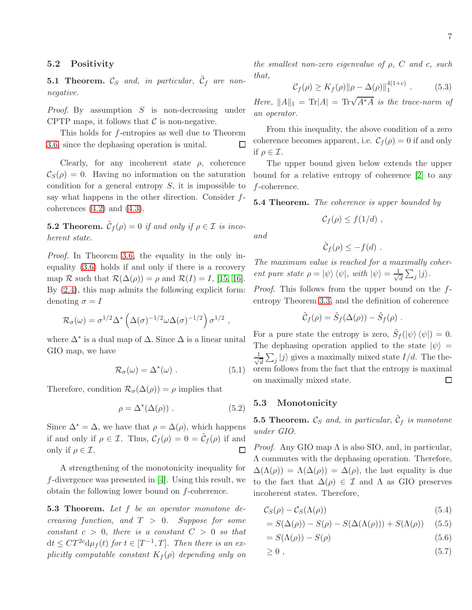### 5.2 Positivity

**5.1 Theorem.**  $\mathcal{C}_S$  and, in particular,  $\tilde{\mathcal{C}}_f$  are nonnegative.

*Proof.* By assumption  $S$  is non-decreasing under CPTP maps, it follows that  $\mathcal C$  is non-negative.

This holds for f-entropies as well due to Theorem [3.6,](#page-5-0) since the dephasing operation is unital.  $\Box$ 

Clearly, for any incoherent state  $\rho$ , coherence  $\mathcal{C}_{S}(\rho) = 0$ . Having no information on the saturation condition for a general entropy  $S$ , it is impossible to say what happens in the other direction. Consider fcoherences  $(4.2)$  and  $(4.3)$ .

**5.2 Theorem.**  $\tilde{\mathcal{C}}_f(\rho) = 0$  if and only if  $\rho \in \mathcal{I}$  is incoherent state.

Proof. In Theorem [3.6,](#page-5-0) the equality in the only inequality [\(3.6\)](#page-5-3) holds if and only if there is a recovery map R such that  $\mathcal{R}(\Delta(\rho)) = \rho$  and  $\mathcal{R}(I) = I$ , [\[15,](#page-11-12) [16\]](#page-11-10). By [\(2.4\)](#page-3-2), this map admits the following explicit form: denoting  $\sigma = I$ 

$$
\mathcal{R}_{\sigma}(\omega) = \sigma^{1/2} \Delta^* \left( \Delta(\sigma)^{-1/2} \omega \Delta(\sigma)^{-1/2} \right) \sigma^{1/2} ,
$$

where  $\Delta^*$  is a dual map of  $\Delta$ . Since  $\Delta$  is a linear unital GIO map, we have

$$
\mathcal{R}_{\sigma}(\omega) = \Delta^*(\omega) . \qquad (5.1)
$$

Therefore, condition  $\mathcal{R}_{\sigma}(\Delta(\rho)) = \rho$  implies that

$$
\rho = \Delta^*(\Delta(\rho)) . \tag{5.2}
$$

Since  $\Delta^* = \Delta$ , we have that  $\rho = \Delta(\rho)$ , which happens if and only if  $\rho \in \mathcal{I}$ . Thus,  $\mathcal{C}_f(\rho) = 0 = \hat{\mathcal{C}}_f(\rho)$  if and only if  $\rho \in \mathcal{I}$ .  $\Box$ 

A strengthening of the monotonicity inequality for f-divergence was presented in [\[4\]](#page-11-13). Using this result, we obtain the following lower bound on f-coherence.

**5.3 Theorem.** Let f be an operator monotone decreasing function, and  $T > 0$ . Suppose for some constant  $c > 0$ , there is a constant  $C > 0$  so that  $dt \leq CT^{2c}d\mu_f(t)$  for  $t \in [T^{-1},T]$ . Then there is an explicitly computable constant  $K_f(\rho)$  depending only on

the smallest non-zero eigenvalue of  $\rho$ , C and c, such that,

$$
C_f(\rho) \ge K_f(\rho) \|\rho - \Delta(\rho)\|_1^{4(1+c)} . \tag{5.3}
$$

Here,  $||A||_1 = \text{Tr}|A| = \text{Tr}\sqrt{A^*A}$  is the trace-norm of an operator.

From this inequality, the above condition of a zero coherence becomes apparent, i.e.  $C_f(\rho) = 0$  if and only if  $\rho \in \mathcal{I}$ .

The upper bound given below extends the upper bound for a relative entropy of coherence [\[2\]](#page-11-3) to any f-coherence.

**5.4 Theorem.** The coherence is upper bounded by

$$
\mathcal{C}_f(\rho) \leq f(1/d) ,
$$

and

$$
\hat{\mathcal{C}}_f(\rho) \leq -f(d) \; .
$$

The maximum value is reached for a maximally coherent pure state  $\rho = \ket{\psi}\bra{\psi}$ , with  $\ket{\psi} = \frac{1}{\sqrt{\pi}}$  $\frac{1}{d}\sum_j|j\rangle.$ 

Proof. This follows from the upper bound on the fentropy Theorem [3.3,](#page-4-4) and the definition of coherence

$$
\tilde{C}_f(\rho) = \tilde{S}_f(\Delta(\rho)) - \tilde{S}_f(\rho) .
$$

For a pure state the entropy is zero,  $\tilde{S}_f(\ket{\psi}\bra{\psi}) = 0$ . The dephasing operation applied to the state  $|\psi\rangle$  = √ 1  $\frac{1}{d} \sum_j |j\rangle$  gives a maximally mixed state  $I/d$ . The theorem follows from the fact that the entropy is maximal on maximally mixed state.  $\Box$ 

#### 5.3 Monotonicity

**5.5 Theorem.**  $\mathcal{C}_S$  and, in particular,  $\tilde{\mathcal{C}}_f$  is monotone under GIO.

*Proof.* Any GIO map  $\Lambda$  is also SIO, and, in particular, Λ commutes with the dephasing operation. Therefore,  $\Delta(\Lambda(\rho)) = \Lambda(\Delta(\rho)) = \Delta(\rho)$ , the last equality is due to the fact that  $\Delta(\rho) \in \mathcal{I}$  and  $\Lambda$  as GIO preserves incoherent states. Therefore,

$$
C_S(\rho) - C_S(\Lambda(\rho)) \tag{5.4}
$$

$$
= S(\Delta(\rho)) - S(\rho) - S(\Delta(\Lambda(\rho))) + S(\Lambda(\rho)) \quad (5.5)
$$

$$
=S(\Lambda(\rho)) - S(\rho) \tag{5.6}
$$

<span id="page-6-0"></span>
$$
\geq 0 \tag{5.7}
$$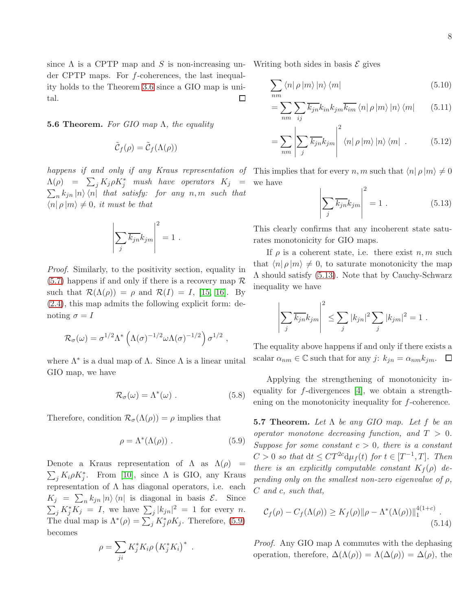since  $\Lambda$  is a CPTP map and S is non-increasing under CPTP maps. For f-coherences, the last inequality holds to the Theorem [3.6](#page-5-0) since a GIO map is unital.  $\Box$ 

**5.6 Theorem.** For GIO map  $\Lambda$ , the equality

$$
\tilde{\mathcal{C}}_f(\rho) = \tilde{\mathcal{C}}_f(\Lambda(\rho))
$$

happens if and only if any Kraus representation of This implies that for every n, m such that  $\langle n | \rho | m \rangle \neq 0$  $\Lambda(\rho)$  =  $\sum_j K_j \rho K_j^*$  mush have operators  $K_j$  =  $\sum_{n} k_{jn} |n\rangle \langle n|$  that satisfy: for any  $n, m$  such that  $\langle n | \rho | m \rangle \neq 0$ , it must be that

$$
\left| \sum_{j} \overline{k_{jn}} k_{jm} \right|^2 = 1.
$$

Proof. Similarly, to the positivity section, equality in  $(5.7)$  happens if and only if there is a recovery map  $\mathcal R$ such that  $\mathcal{R}(\Lambda(\rho)) = \rho$  and  $\mathcal{R}(I) = I$ , [\[15,](#page-11-12) [16\]](#page-11-10). By [\(2.4\)](#page-3-2), this map admits the following explicit form: denoting  $\sigma = I$ 

$$
\mathcal{R}_{\sigma}(\omega) = \sigma^{1/2} \Lambda^* \left( \Lambda(\sigma)^{-1/2} \omega \Lambda(\sigma)^{-1/2} \right) \sigma^{1/2} ,
$$

where  $\Lambda^*$  is a dual map of  $\Lambda$ . Since  $\Lambda$  is a linear unital GIO map, we have

$$
\mathcal{R}_{\sigma}(\omega) = \Lambda^*(\omega) \ . \tag{5.8}
$$

Therefore, condition  $\mathcal{R}_{\sigma}(\Lambda(\rho)) = \rho$  implies that

$$
\rho = \Lambda^*(\Lambda(\rho)) . \tag{5.9}
$$

Denote a Kraus representation of  $\Lambda$  as  $\Lambda(\rho)$  =  $\sum_j K_i \rho K_j^*$ . From [\[10\]](#page-11-7), since  $\Lambda$  is GIO, any Kraus representation of  $\Lambda$  has diagonal operators, i.e. each  $K_j = \sum_n k_{jn} |n\rangle \langle n|$  is diagonal in basis  $\mathcal{E}$ . Since  $\sum_j K_j^* K_j = I$ , we have  $\sum_j |k_{jn}|^2 = 1$  for every *n*. The dual map is  $\Lambda^*(\rho) = \sum_j K_j^*\rho K_j$ . Therefore, [\(5.9\)](#page-7-0) becomes

$$
\rho = \sum_{ji} K_j^* K_i \rho \left( K_j^* K_i \right)^* .
$$

Writing both sides in basis  $\mathcal E$  gives

$$
\sum_{nm} \langle n | \rho | m \rangle | n \rangle \langle m |
$$
 (5.10)

$$
= \sum_{nm} \sum_{ij} \overline{k_{jn}} k_{in} k_{jm} \overline{k_{im}} \langle n | \rho | m \rangle | n \rangle \langle m | \qquad (5.11)
$$

$$
= \sum_{nm} \left| \sum_{j} \overline{k_{jn}} k_{jm} \right|^2 \langle n | \rho | m \rangle |n \rangle \langle m | . \qquad (5.12)
$$

we have

<span id="page-7-1"></span>
$$
\left| \sum_{j} \overline{k_{jn}} k_{jm} \right|^2 = 1 . \tag{5.13}
$$

This clearly confirms that any incoherent state saturates monotonicity for GIO maps.

If  $\rho$  is a coherent state, i.e. there exist  $n, m$  such that  $\langle n | \rho | m \rangle \neq 0$ , to saturate monotonicity the map Λ should satisfy [\(5.13\)](#page-7-1). Note that by Cauchy-Schwarz inequality we have

$$
\left| \sum_{j} \overline{k_{jn}} k_{jm} \right|^2 \leq \sum_{j} |k_{jn}|^2 \sum_{j} |k_{jm}|^2 = 1.
$$

The equality above happens if and only if there exists a scalar  $\alpha_{nm} \in \mathbb{C}$  such that for any j:  $k_{jn} = \alpha_{nm} k_{jm}$ .  $\Box$ 

Applying the strengthening of monotonicity inequality for  $f$ -divergences [\[4\]](#page-11-13), we obtain a strengthening on the monotonicity inequality for f-coherence.

<span id="page-7-0"></span>**5.7 Theorem.** Let  $\Lambda$  be any GIO map. Let f be an operator monotone decreasing function, and  $T > 0$ . Suppose for some constant  $c > 0$ , there is a constant  $C > 0$  so that  $dt \leq CT^{2c} d\mu_f(t)$  for  $t \in [T^{-1}, T]$ . Then there is an explicitly computable constant  $K_f(\rho)$  depending only on the smallest non-zero eigenvalue of  $\rho$ , C and c, such that,

$$
\mathcal{C}_f(\rho) - C_f(\Lambda(\rho)) \ge K_f(\rho) \|\rho - \Lambda^*(\Lambda(\rho))\|_1^{4(1+c)}.
$$
\n(5.14)

*Proof.* Any GIO map  $\Lambda$  commutes with the dephasing operation, therefore,  $\Delta(\Lambda(\rho)) = \Lambda(\Delta(\rho)) = \Delta(\rho)$ , the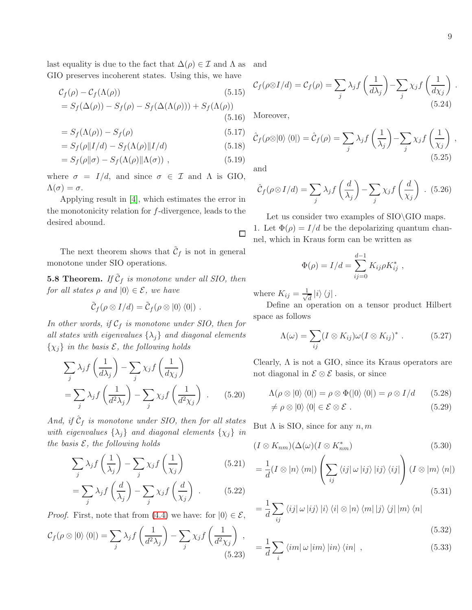,

last equality is due to the fact that  $\Delta(\rho) \in \mathcal{I}$  and  $\Lambda$  as GIO preserves incoherent states. Using this, we have and

$$
C_f(\rho) - C_f(\Lambda(\rho))
$$
\n
$$
= S_f(\Delta(\rho)) - S_f(\rho) - S_f(\Delta(\Lambda(\rho))) + S_f(\Lambda(\rho))
$$
\n(5.15)\n(5.16)

$$
=S_f(\Lambda(\rho)) - S_f(\rho) \tag{5.17}
$$

$$
=S_f(\rho||I/d) - S_f(\Lambda(\rho)||I/d)
$$
\n(5.18)

$$
=S_f(\rho||\sigma) - S_f(\Lambda(\rho)||\Lambda(\sigma)), \qquad (5.19)
$$

where  $\sigma = I/d$ , and since  $\sigma \in \mathcal{I}$  and  $\Lambda$  is GIO,  $\Lambda(\sigma) = \sigma.$ 

Applying result in [\[4\]](#page-11-13), which estimates the error in the monotonicity relation for f-divergence, leads to the desired abound.

The next theorem shows that  $\tilde{\mathcal{C}}_f$  is not in general monotone under SIO operations.

**5.8 Theorem.** If  $\tilde{\mathcal{C}}_f$  is monotone under all SIO, then for all states  $\rho$  and  $|0\rangle \in \mathcal{E}$ , we have

$$
\tilde{\mathcal{C}}_f(\rho\otimes I/d)=\tilde{\mathcal{C}}_f(\rho\otimes|0\rangle\langle0|)\ .
$$

In other words, if  $C_f$  is monotone under SIO, then for all states with eigenvalues  $\{\lambda_j\}$  and diagonal elements  $\{\chi_i\}$  in the basis  $\mathcal{E}$ , the following holds

$$
\sum_{j} \lambda_{j} f\left(\frac{1}{d\lambda_{j}}\right) - \sum_{j} \chi_{j} f\left(\frac{1}{d\chi_{j}}\right)
$$

$$
= \sum_{j} \lambda_{j} f\left(\frac{1}{d^{2} \lambda_{j}}\right) - \sum_{j} \chi_{j} f\left(\frac{1}{d^{2} \chi_{j}}\right) . \qquad (5.20)
$$

And, if  $\hat{C}_f$  is monotone under SIO, then for all states with eigenvalues  $\{\lambda_j\}$  and diagonal elements  $\{\chi_j\}$  in the basis  $\mathcal{E}$ , the following holds

$$
\sum_{j} \lambda_{j} f\left(\frac{1}{\lambda_{j}}\right) - \sum_{j} \chi_{j} f\left(\frac{1}{\chi_{j}}\right) \tag{5.21}
$$

$$
= \sum_{j} \lambda_j f\left(\frac{d}{\lambda_j}\right) - \sum_{j} \chi_j f\left(\frac{d}{\chi_j}\right) \ . \tag{5.22}
$$

 $\setminus$ 

− X j

 $\setminus$ 

*Proof.* First, note that from [\(4.4\)](#page-5-4) we have: for  $|0\rangle \in \mathcal{E}$ ,

 $d^2\lambda_j$ 

 $\lambda_j f\left(\frac{1}{n^2}\right)$ 

<span id="page-8-0"></span> $\mathcal{C}_f (\rho \otimes \ket{0}\bra{0}) = \sum$ 

j

$$
C_f(\rho \otimes I/d) = C_f(\rho) = \sum_j \lambda_j f\left(\frac{1}{d\lambda_j}\right) - \sum_j \chi_j f\left(\frac{1}{d\chi_j}\right) .
$$
\n(5.24)

Moreover,

$$
\hat{C}_f(\rho \otimes |0\rangle\langle 0|) = \hat{C}_f(\rho) = \sum_j \lambda_j f\left(\frac{1}{\lambda_j}\right) - \sum_j \chi_j f\left(\frac{1}{\chi_j}\right)
$$
\n(5.25)

and

 $\Box$ 

<span id="page-8-1"></span>
$$
\hat{\mathcal{C}}_f(\rho \otimes I/d) = \sum_j \lambda_j f\left(\frac{d}{\lambda_j}\right) - \sum_j \chi_j f\left(\frac{d}{\chi_j}\right) .
$$
 (5.26)

Let us consider two examples of  $SO\GIO$  maps. 1. Let  $\Phi(\rho) = I/d$  be the depolarizing quantum channel, which in Kraus form can be written as

$$
\Phi(\rho) = I/d = \sum_{ij=0}^{d-1} K_{ij} \rho K_{ij}^* ,
$$

where  $K_{ij} = \frac{1}{\sqrt{2}}$  $\overline{\overline{d}}\ket{i}\bra{j}$ .

Define an operation on a tensor product Hilbert space as follows

$$
\Lambda(\omega) = \sum_{ij} (I \otimes K_{ij}) \omega (I \otimes K_{ij})^* \ . \tag{5.27}
$$

<span id="page-8-2"></span>Clearly,  $\Lambda$  is not a GIO, since its Kraus operators are not diagonal in  $\mathcal{E} \otimes \mathcal{E}$  basis, or since

$$
\Lambda(\rho \otimes |0\rangle\langle 0|) = \rho \otimes \Phi(|0\rangle\langle 0|) = \rho \otimes I/d \qquad (5.28)
$$

$$
\neq \rho \otimes |0\rangle \langle 0| \in \mathcal{E} \otimes \mathcal{E} . \tag{5.29}
$$

But  $\Lambda$  is SIO, since for any  $n, m$ 

$$
(I \otimes K_{nm})(\Delta(\omega)(I \otimes K_{nm}^*)) \tag{5.30}
$$

$$
= \frac{1}{d}(I \otimes |n\rangle \langle m|) \left( \sum_{ij} \langle ij | \omega | ij \rangle |ij \rangle \langle ij| \right) (I \otimes |m\rangle \langle n|)
$$
\n(5.31)

<span id="page-8-3"></span>
$$
= \frac{1}{d} \sum_{ij} \langle ij | \omega | ij \rangle | i \rangle \langle i | \otimes | n \rangle \langle m | | j \rangle \langle j | | m \rangle \langle n |
$$

$$
(5.32)
$$

$$
\chi_j f\left(\frac{1}{d^2 \chi_j}\right) ,\n= \frac{1}{d} \sum_i \langle im | \omega | im \rangle |in \rangle \langle in | ,
$$
\n(5.32)\n(5.33)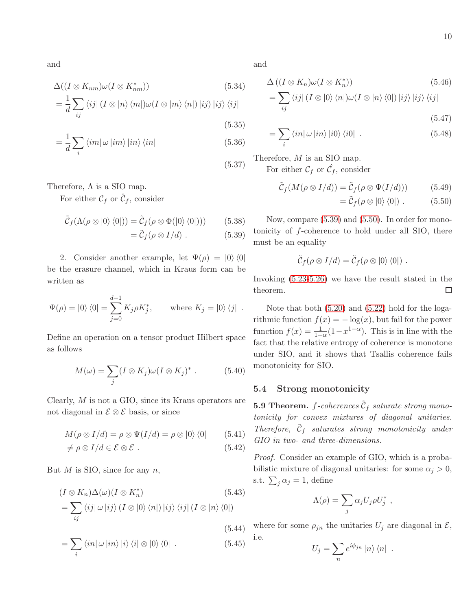and

$$
\Delta((I \otimes K_{nm})\omega(I \otimes K_{nm}^*))\tag{5.34}
$$
\n
$$
\frac{1}{N}\sum_{i=1}^{N} (I \otimes L) \left(\sum_{i=1}^{N} |I \otimes L| \right) \left(\sum_{i=1}^{N} |I \otimes L| \right) \left(\sum_{i=1}^{N} |I \otimes L| \right) \left(\sum_{i=1}^{N} |I \otimes L| \right)
$$

$$
=\frac{1}{d}\sum_{ij}\left\langle ij\right|\left(I\otimes\left|n\right\rangle\left\langle m\right|\right)\omega\left(I\otimes\left|m\right\rangle\left\langle n\right|\right)\left|ij\right\rangle\left|ij\right\rangle\left\langle ij\right|
$$
\n(5.35)

$$
=\frac{1}{d}\sum_{i}\left\langle im|\,\omega\left\vert im\right\rangle \left\vert in\right\rangle \left\langle in\right\vert \tag{5.36}
$$

Therefore,  $\Lambda$  is a SIO map.

For either  $\mathcal{C}_f$  or  $\hat{\mathcal{C}}_f$ , consider

$$
\tilde{C}_f(\Lambda(\rho \otimes |0\rangle \langle 0|)) = \tilde{C}_f(\rho \otimes \Phi(|0\rangle \langle 0|))) \tag{5.38}
$$

 $= \tilde{C}_f(\rho \otimes I/d)$  . (5.39)

2. Consider another example, let  $\Psi(\rho) = |0\rangle \langle 0|$ be the erasure channel, which in Kraus form can be written as

$$
\Psi(\rho) = |0\rangle\langle 0| = \sum_{j=0}^{d-1} K_j \rho K_j^*, \quad \text{where } K_j = |0\rangle\langle j|.
$$

Define an operation on a tensor product Hilbert space as follows

$$
M(\omega) = \sum_{j} (I \otimes K_j) \omega (I \otimes K_j)^* \ . \tag{5.40}
$$

Clearly, M is not a GIO, since its Kraus operators are not diagonal in  $\mathcal{E} \otimes \mathcal{E}$  basis, or since

$$
M(\rho \otimes I/d) = \rho \otimes \Psi(I/d) = \rho \otimes |0\rangle \langle 0| \qquad (5.41)
$$

$$
\neq \rho \otimes I/d \in \mathcal{E} \otimes \mathcal{E} \ . \tag{5.42}
$$

But  $M$  is SIO, since for any  $n$ ,

$$
(I \otimes K_n)\Delta(\omega)(I \otimes K_n^*)
$$
\n
$$
= \sum_{ij} \langle ij | \omega | ij \rangle (I \otimes |0\rangle \langle n|) |ij\rangle \langle ij | (I \otimes |n\rangle \langle 0|)
$$
\n
$$
= (5.44)
$$

$$
= \sum_{i} \langle in | \omega | in \rangle | i \rangle \langle i | \otimes | 0 \rangle \langle 0 | . \qquad (5.45)
$$

and

(5.37)

$$
\Delta ((I \otimes K_n)\omega(I \otimes K_n^*))\n= \sum_{ij} \langle ij | (I \otimes |0\rangle \langle n|) \omega(I \otimes |n\rangle \langle 0|) |ij\rangle |ij\rangle \langle ij|
$$
\n(5.46)

<span id="page-9-1"></span>
$$
(5.47)
$$

$$
=\sum_{i}\left\langle in\right|\omega\left|in\right\rangle\left|i0\right\rangle\left\langle i0\right|\ .\tag{5.48}
$$

Therefore, M is an SIO map. For either  $\mathcal{C}_f$  or  $\hat{\mathcal{C}}_f$ , consider

$$
\tilde{\mathcal{C}}_f(M(\rho \otimes I/d)) = \tilde{\mathcal{C}}_f(\rho \otimes \Psi(I/d))) \tag{5.49}
$$

$$
= \tilde{C}_f(\rho \otimes |0\rangle \langle 0|) . \qquad (5.50)
$$

<span id="page-9-0"></span>Now, compare [\(5.39\)](#page-9-0) and [\(5.50\)](#page-9-1). In order for monotonicity of f-coherence to hold under all SIO, there must be an equality

$$
\tilde{\mathcal{C}}_f(\rho\otimes I/d)=\tilde{\mathcal{C}}_f(\rho\otimes|0\rangle\langle0|)\ .
$$

Invoking [\(5.23-](#page-8-0)[5.26\)](#page-8-1) we have the result stated in the theorem.  $\Box$ 

Note that both [\(5.20\)](#page-8-2) and [\(5.22\)](#page-8-3) hold for the logarithmic function  $f(x) = -\log(x)$ , but fail for the power function  $f(x) = \frac{1}{1-\alpha}(1-x^{1-\alpha})$ . This is in line with the fact that the relative entropy of coherence is monotone under SIO, and it shows that Tsallis coherence fails monotonicity for SIO.

#### 5.4 Strong monotonicity

**5.9 Theorem.** f-coherences  $\tilde{\mathcal{C}}_f$  saturate strong monotonicity for convex mixtures of diagonal unitaries. Therefore,  $\tilde{C}_f$  saturates strong monotonicity under GIO in two- and three-dimensions.

Proof. Consider an example of GIO, which is a probabilistic mixture of diagonal unitaries: for some  $\alpha_i > 0$ , s.t.  $\sum_j \alpha_j = 1$ , define

$$
\Lambda(\rho) = \sum_j \alpha_j U_j \rho U_j^*,
$$

where for some  $\rho_{jn}$  the unitaries  $U_j$  are diagonal in  $\mathcal{E},$ i.e.

$$
U_j = \sum_n e^{i\phi_{jn}} |n\rangle \langle n|.
$$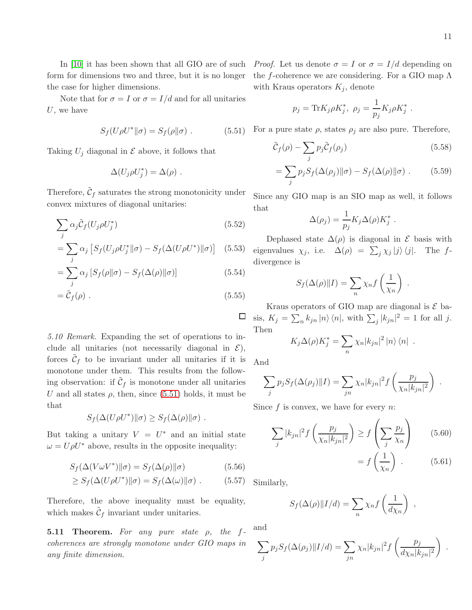In [\[10\]](#page-11-7) it has been shown that all GIO are of such form for dimensions two and three, but it is no longer the case for higher dimensions.

Note that for  $\sigma = I$  or  $\sigma = I/d$  and for all unitaries  $U$ , we have

<span id="page-10-0"></span>
$$
S_f(U\rho U^* \| \sigma) = S_f(\rho \| \sigma) . \tag{5.51}
$$

Taking  $U_j$  diagonal in  $\mathcal E$  above, it follows that

$$
\Delta(U_j \rho U_j^*) = \Delta(\rho) .
$$

Therefore,  $\tilde{\mathcal{C}}_f$  saturates the strong monotonicity under convex mixtures of diagonal unitaries:

$$
\sum_{j} \alpha_{j} \tilde{\mathcal{C}}_{f}(U_{j}\rho U_{j}^{*})
$$
\n(5.52)

$$
= \sum_{j} \alpha_{j} \left[ S_{f}(U_{j}\rho U_{j}^{*}||\sigma) - S_{f}(\Delta(U\rho U^{*})||\sigma) \right] \quad (5.53)
$$

$$
= \sum_{j} \alpha_{j} \left[ S_{f}(\rho || \sigma) - S_{f}(\Delta(\rho) || \sigma) \right]
$$
(5.54)  

$$
= \tilde{C}_{f}(\rho)
$$
(5.55)

$$
= \tilde{\mathcal{C}}_f(\rho) . \tag{5.55}
$$

5.10 Remark. Expanding the set of operations to include all unitaries (not necessarily diagonal in  $\mathcal{E}$ ), forces  $\tilde{\mathcal{C}}_f$  to be invariant under all unitaries if it is monotone under them. This results from the following observation: if  $\tilde{\mathcal{C}}_f$  is monotone under all unitaries U and all states  $\rho$ , then, since [\(5.51\)](#page-10-0) holds, it must be that

$$
S_f(\Delta(U\rho U^*)\|\sigma) \geq S_f(\Delta(\rho)\|\sigma) .
$$

But taking a unitary  $V = U^*$  and an initial state  $\omega = U \rho U^*$  above, results in the opposite inequality:

$$
S_f(\Delta(V\omega V^*)\|\sigma) = S_f(\Delta(\rho)\|\sigma)
$$
\n(5.56)

$$
\geq S_f(\Delta(U\rho U^*)\|\sigma) = S_f(\Delta(\omega)\|\sigma) . \tag{5.57}
$$

Therefore, the above inequality must be equality, which makes  $\tilde{\mathcal{C}}_f$  invariant under unitaries.

**5.11 Theorem.** For any pure state  $\rho$ , the fcoherences are strongly monotone under GIO maps in any finite dimension.

*Proof.* Let us denote  $\sigma = I$  or  $\sigma = I/d$  depending on the f-coherence we are considering. For a GIO map  $\Lambda$ with Kraus operators  $K_j$ , denote

$$
p_j = \text{Tr} K_j \rho K_j^*, \ \rho_j = \frac{1}{p_j} K_j \rho K_j^*.
$$

For a pure state  $\rho$ , states  $\rho_j$  are also pure. Therefore,

$$
\tilde{C}_f(\rho) - \sum_j p_j \tilde{C}_f(\rho_j) \tag{5.58}
$$

$$
= \sum_{j} p_j S_f(\Delta(\rho_j) \| \sigma) - S_f(\Delta(\rho) \| \sigma) . \tag{5.59}
$$

Since any GIO map is an SIO map as well, it follows that

$$
\Delta(\rho_j) = \frac{1}{p_j} K_j \Delta(\rho) K_j^*.
$$

Dephased state  $\Delta(\rho)$  is diagonal in  $\mathcal E$  basis with eigenvalues  $\chi_j$ , i.e.  $\Delta(\rho) = \sum_j \chi_j |j\rangle \langle j|$ . The fdivergence is

$$
S_f(\Delta(\rho) \| I) = \sum_n \chi_n f\left(\frac{1}{\chi_n}\right) .
$$

Kraus operators of GIO map are diagonal is  $\mathcal E$  basis,  $K_j = \sum_n k_{jn} |n\rangle \langle n|$ , with  $\sum_j |k_{jn}|^2 = 1$  for all j. Then

$$
K_j \Delta(\rho) K_j^* = \sum_n \chi_n |k_{jn}|^2 |n\rangle \langle n|.
$$

And

 $\Box$ 

$$
\sum_{j} p_j S_f(\Delta(\rho_j) || I) = \sum_{jn} \chi_n |k_{jn}|^2 f\left(\frac{p_j}{\chi_n |k_{jn}|^2}\right) .
$$

Since  $f$  is convex, we have for every  $n$ .

$$
\sum_{j} |k_{jn}|^2 f\left(\frac{p_j}{\chi_n |k_{jn}|^2}\right) \ge f\left(\sum_{j} \frac{p_j}{\chi_n}\right) \tag{5.60}
$$

$$
= f\left(\frac{1}{\chi_n}\right) \ . \tag{5.61}
$$

Similarly,

$$
S_f(\Delta(\rho) \| I/d) = \sum_n \chi_n f\left(\frac{1}{d\chi_n}\right) ,
$$

and

$$
\sum_j p_j S_f(\Delta(\rho_j) || I/d) = \sum_{jn} \chi_n |k_{jn}|^2 f\left(\frac{p_j}{d\chi_n |k_{jn}|^2}\right) .
$$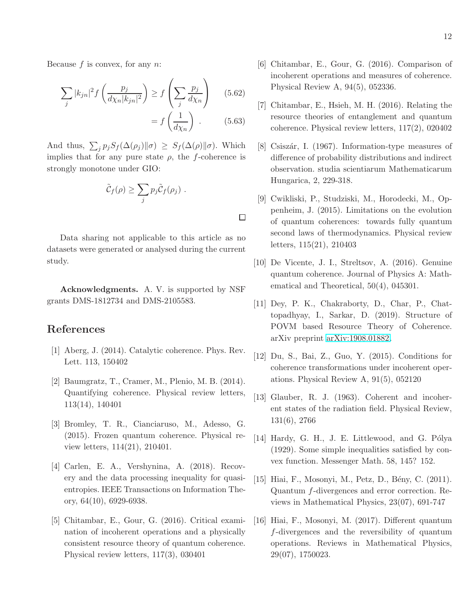Because  $f$  is convex, for any  $n$ .

$$
\sum_{j} |k_{jn}|^{2} f\left(\frac{p_{j}}{d\chi_{n}|k_{jn}|^{2}}\right) \ge f\left(\sum_{j} \frac{p_{j}}{d\chi_{n}}\right) \quad (5.62)
$$

$$
= f\left(\frac{1}{d\chi_{n}}\right) . \quad (5.63)
$$

And thus,  $\sum_j p_j S_f(\Delta(\rho_j) \| \sigma) \geq S_f(\Delta(\rho) \| \sigma)$ . Which implies that for any pure state  $\rho$ , the f-coherence is strongly monotone under GIO:

$$
\tilde{C}_f(\rho) \geq \sum_j p_j \tilde{C}_f(\rho_j) .
$$

 $\Box$ 

Data sharing not applicable to this article as no datasets were generated or analysed during the current study.

Acknowledgments. A. V. is supported by NSF grants DMS-1812734 and DMS-2105583.

### <span id="page-11-0"></span>References

- <span id="page-11-3"></span>[1] Aberg, J. (2014). Catalytic coherence. Phys. Rev. Lett. 113, 150402
- [2] Baumgratz, T., Cramer, M., Plenio, M. B. (2014). Quantifying coherence. Physical review letters, 113(14), 140401
- [3] Bromley, T. R., Cianciaruso, M., Adesso, G. (2015). Frozen quantum coherence. Physical review letters, 114(21), 210401.
- <span id="page-11-13"></span>[4] Carlen, E. A., Vershynina, A. (2018). Recovery and the data processing inequality for quasientropies. IEEE Transactions on Information Theory, 64(10), 6929-6938.
- <span id="page-11-5"></span>[5] Chitambar, E., Gour, G. (2016). Critical examination of incoherent operations and a physically consistent resource theory of quantum coherence. Physical review letters, 117(3), 030401
- <span id="page-11-8"></span>[6] Chitambar, E., Gour, G. (2016). Comparison of incoherent operations and measures of coherence. Physical Review A, 94(5), 052336.
- <span id="page-11-4"></span>[7] Chitambar, E., Hsieh, M. H. (2016). Relating the resource theories of entanglement and quantum coherence. Physical review letters, 117(2), 020402
- <span id="page-11-9"></span>[8] Csiszár, I. (1967). Information-type measures of difference of probability distributions and indirect observation. studia scientiarum Mathematicarum Hungarica, 2, 229-318.
- <span id="page-11-1"></span>[9] Cwikliski, P., Studziski, M., Horodecki, M., Oppenheim, J. (2015). Limitations on the evolution of quantum coherences: towards fully quantum second laws of thermodynamics. Physical review letters, 115(21), 210403
- <span id="page-11-7"></span>[10] De Vicente, J. I., Streltsov, A. (2016). Genuine quantum coherence. Journal of Physics A: Mathematical and Theoretical, 50(4), 045301.
- [11] Dey, P. K., Chakraborty, D., Char, P., Chattopadhyay, I., Sarkar, D. (2019). Structure of POVM based Resource Theory of Coherence. arXiv preprint [arXiv:1908.01882.](http://arxiv.org/abs/1908.01882)
- <span id="page-11-6"></span>[12] Du, S., Bai, Z., Guo, Y. (2015). Conditions for coherence transformations under incoherent operations. Physical Review A, 91(5), 052120
- <span id="page-11-2"></span>[13] Glauber, R. J. (1963). Coherent and incoherent states of the radiation field. Physical Review, 131(6), 2766
- <span id="page-11-11"></span>[14] Hardy, G. H., J. E. Littlewood, and G. Pólya (1929). Some simple inequalities satisfied by convex function. Messenger Math. 58, 145? 152.
- <span id="page-11-12"></span>[15] Hiai, F., Mosonyi, M., Petz, D., Bény, C. (2011). Quantum f-divergences and error correction. Reviews in Mathematical Physics, 23(07), 691-747
- <span id="page-11-10"></span>[16] Hiai, F., Mosonyi, M. (2017). Different quantum f-divergences and the reversibility of quantum operations. Reviews in Mathematical Physics, 29(07), 1750023.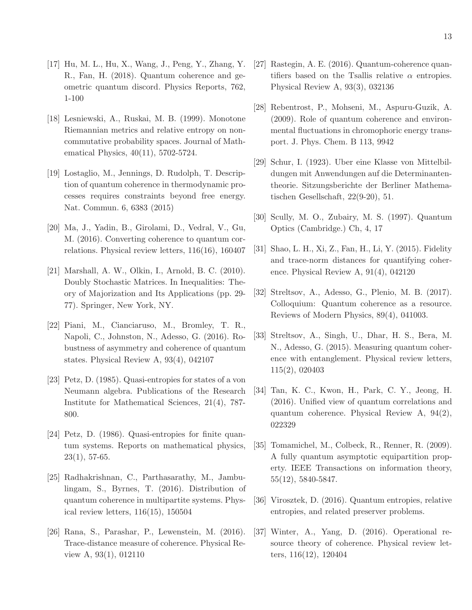- <span id="page-12-10"></span>[17] Hu, M. L., Hu, X., Wang, J., Peng, Y., Zhang, Y. R., Fan, H. (2018). Quantum coherence and geometric quantum discord. Physics Reports, 762, 1-100
- <span id="page-12-19"></span>[18] Lesniewski, A., Ruskai, M. B. (1999). Monotone Riemannian metrics and relative entropy on noncommutative probability spaces. Journal of Mathematical Physics, 40(11), 5702-5724.
- <span id="page-12-0"></span>[19] Lostaglio, M., Jennings, D. Rudolph, T. Description of quantum coherence in thermodynamic processes requires constraints beyond free energy. Nat. Commun. 6, 6383 (2015)
- <span id="page-12-11"></span>[20] Ma, J., Yadin, B., Girolami, D., Vedral, V., Gu, M. (2016). Converting coherence to quantum correlations. Physical review letters, 116(16), 160407
- <span id="page-12-17"></span>[21] Marshall, A. W., Olkin, I., Arnold, B. C. (2010). Doubly Stochastic Matrices. In Inequalities: Theory of Majorization and Its Applications (pp. 29- 77). Springer, New York, NY.
- <span id="page-12-3"></span>[22] Piani, M., Cianciaruso, M., Bromley, T. R., Napoli, C., Johnston, N., Adesso, G. (2016). Robustness of asymmetry and coherence of quantum states. Physical Review A, 93(4), 042107
- <span id="page-12-14"></span>[23] Petz, D. (1985). Quasi-entropies for states of a von Neumann algebra. Publications of the Research Institute for Mathematical Sciences, 21(4), 787- 800.
- <span id="page-12-15"></span>[24] Petz, D. (1986). Quasi-entropies for finite quantum systems. Reports on mathematical physics,  $23(1), 57-65.$
- <span id="page-12-7"></span>[25] Radhakrishnan, C., Parthasarathy, M., Jambulingam, S., Byrnes, T. (2016). Distribution of quantum coherence in multipartite systems. Physical review letters, 116(15), 150504
- <span id="page-12-4"></span>[26] Rana, S., Parashar, P., Lewenstein, M. (2016). Trace-distance measure of coherence. Physical Review A, 93(1), 012110
- <span id="page-12-5"></span>[27] Rastegin, A. E. (2016). Quantum-coherence quantifiers based on the Tsallis relative  $\alpha$  entropies. Physical Review A, 93(3), 032136
- <span id="page-12-1"></span>[28] Rebentrost, P., Mohseni, M., Aspuru-Guzik, A. (2009). Role of quantum coherence and environmental fluctuations in chromophoric energy transport. J. Phys. Chem. B 113, 9942
- <span id="page-12-18"></span>[29] Schur, I. (1923). Uber eine Klasse von Mittelbildungen mit Anwendungen auf die Determinantentheorie. Sitzungsberichte der Berliner Mathematischen Gesellschaft, 22(9-20), 51.
- <span id="page-12-6"></span><span id="page-12-2"></span>[30] Scully, M. O., Zubairy, M. S. (1997). Quantum Optics (Cambridge.) Ch, 4, 17
- [31] Shao, L. H., Xi, Z., Fan, H., Li, Y. (2015). Fidelity and trace-norm distances for quantifying coherence. Physical Review A, 91(4), 042120
- <span id="page-12-13"></span>[32] Streltsov, A., Adesso, G., Plenio, M. B. (2017). Colloquium: Quantum coherence as a resource. Reviews of Modern Physics, 89(4), 041003.
- <span id="page-12-8"></span>[33] Streltsov, A., Singh, U., Dhar, H. S., Bera, M. N., Adesso, G. (2015). Measuring quantum coherence with entanglement. Physical review letters, 115(2), 020403
- <span id="page-12-12"></span>[34] Tan, K. C., Kwon, H., Park, C. Y., Jeong, H. (2016). Unified view of quantum correlations and quantum coherence. Physical Review A, 94(2), 022329
- <span id="page-12-20"></span>[35] Tomamichel, M., Colbeck, R., Renner, R. (2009). A fully quantum asymptotic equipartition property. IEEE Transactions on information theory, 55(12), 5840-5847.
- <span id="page-12-16"></span><span id="page-12-9"></span>[36] Virosztek, D. (2016). Quantum entropies, relative entropies, and related preserver problems.
- [37] Winter, A., Yang, D. (2016). Operational resource theory of coherence. Physical review letters, 116(12), 120404